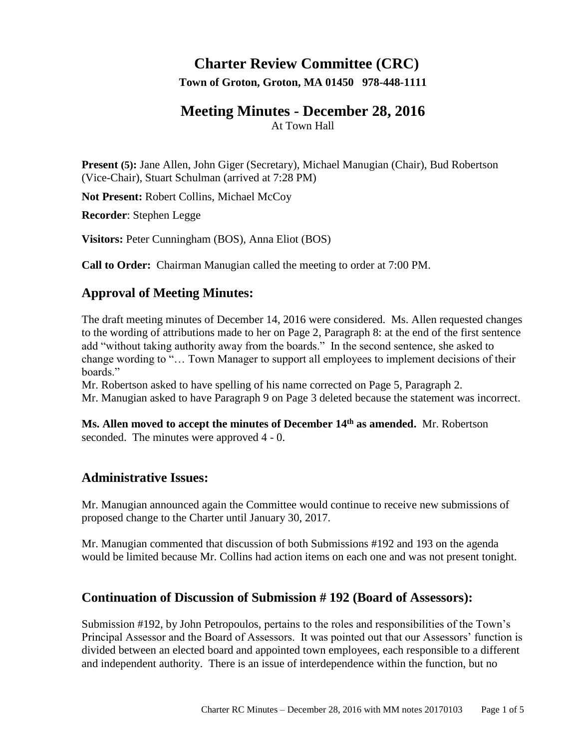# **Charter Review Committee (CRC)**

**Town of Groton, Groton, MA 01450 978-448-1111**

# **Meeting Minutes - December 28, 2016**

At Town Hall

**Present (5):** Jane Allen, John Giger (Secretary), Michael Manugian (Chair), Bud Robertson (Vice-Chair), Stuart Schulman (arrived at 7:28 PM)

**Not Present:** Robert Collins, Michael McCoy

**Recorder**: Stephen Legge

**Visitors:** Peter Cunningham (BOS), Anna Eliot (BOS)

**Call to Order:** Chairman Manugian called the meeting to order at 7:00 PM.

# **Approval of Meeting Minutes:**

The draft meeting minutes of December 14, 2016 were considered. Ms. Allen requested changes to the wording of attributions made to her on Page 2, Paragraph 8: at the end of the first sentence add "without taking authority away from the boards." In the second sentence, she asked to change wording to "… Town Manager to support all employees to implement decisions of their boards."

Mr. Robertson asked to have spelling of his name corrected on Page 5, Paragraph 2. Mr. Manugian asked to have Paragraph 9 on Page 3 deleted because the statement was incorrect.

**Ms. Allen moved to accept the minutes of December 14th as amended.** Mr. Robertson seconded. The minutes were approved 4 - 0.

# **Administrative Issues:**

Mr. Manugian announced again the Committee would continue to receive new submissions of proposed change to the Charter until January 30, 2017.

Mr. Manugian commented that discussion of both Submissions #192 and 193 on the agenda would be limited because Mr. Collins had action items on each one and was not present tonight.

# **Continuation of Discussion of Submission # 192 (Board of Assessors):**

Submission #192, by John Petropoulos, pertains to the roles and responsibilities of the Town's Principal Assessor and the Board of Assessors. It was pointed out that our Assessors' function is divided between an elected board and appointed town employees, each responsible to a different and independent authority. There is an issue of interdependence within the function, but no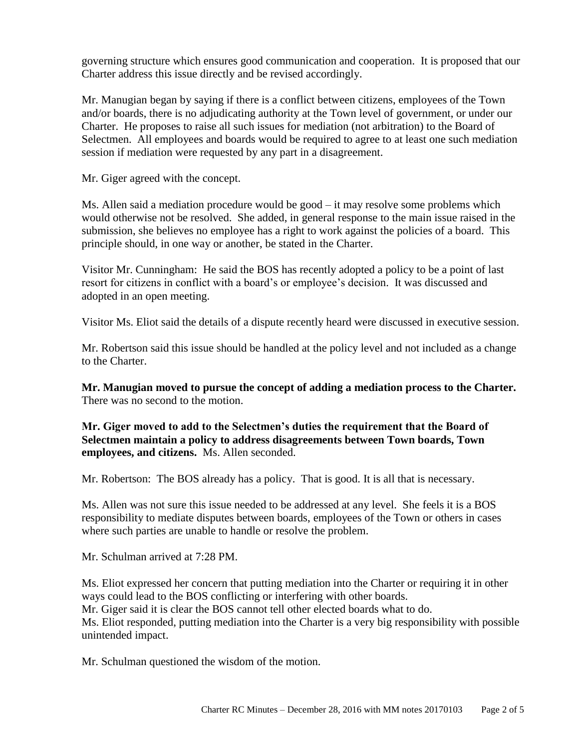governing structure which ensures good communication and cooperation. It is proposed that our Charter address this issue directly and be revised accordingly.

Mr. Manugian began by saying if there is a conflict between citizens, employees of the Town and/or boards, there is no adjudicating authority at the Town level of government, or under our Charter. He proposes to raise all such issues for mediation (not arbitration) to the Board of Selectmen. All employees and boards would be required to agree to at least one such mediation session if mediation were requested by any part in a disagreement.

Mr. Giger agreed with the concept.

Ms. Allen said a mediation procedure would be good – it may resolve some problems which would otherwise not be resolved. She added, in general response to the main issue raised in the submission, she believes no employee has a right to work against the policies of a board. This principle should, in one way or another, be stated in the Charter.

Visitor Mr. Cunningham: He said the BOS has recently adopted a policy to be a point of last resort for citizens in conflict with a board's or employee's decision. It was discussed and adopted in an open meeting.

Visitor Ms. Eliot said the details of a dispute recently heard were discussed in executive session.

Mr. Robertson said this issue should be handled at the policy level and not included as a change to the Charter.

**Mr. Manugian moved to pursue the concept of adding a mediation process to the Charter.** There was no second to the motion.

**Mr. Giger moved to add to the Selectmen's duties the requirement that the Board of Selectmen maintain a policy to address disagreements between Town boards, Town employees, and citizens.** Ms. Allen seconded.

Mr. Robertson: The BOS already has a policy. That is good. It is all that is necessary.

Ms. Allen was not sure this issue needed to be addressed at any level. She feels it is a BOS responsibility to mediate disputes between boards, employees of the Town or others in cases where such parties are unable to handle or resolve the problem.

Mr. Schulman arrived at 7:28 PM.

Ms. Eliot expressed her concern that putting mediation into the Charter or requiring it in other ways could lead to the BOS conflicting or interfering with other boards.

Mr. Giger said it is clear the BOS cannot tell other elected boards what to do.

Ms. Eliot responded, putting mediation into the Charter is a very big responsibility with possible unintended impact.

Mr. Schulman questioned the wisdom of the motion.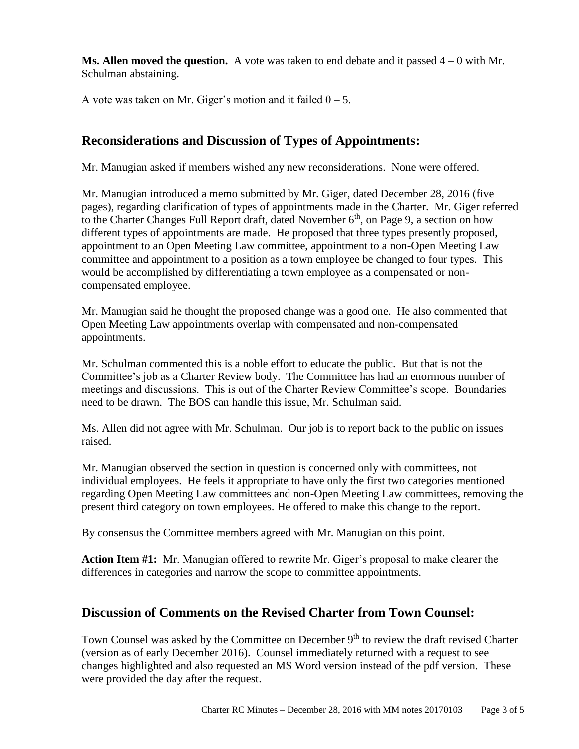**Ms. Allen moved the question.** A vote was taken to end debate and it passed 4 – 0 with Mr. Schulman abstaining.

A vote was taken on Mr. Giger's motion and it failed  $0 - 5$ .

# **Reconsiderations and Discussion of Types of Appointments:**

Mr. Manugian asked if members wished any new reconsiderations. None were offered.

Mr. Manugian introduced a memo submitted by Mr. Giger, dated December 28, 2016 (five pages), regarding clarification of types of appointments made in the Charter. Mr. Giger referred to the Charter Changes Full Report draft, dated November  $6<sup>th</sup>$ , on Page 9, a section on how different types of appointments are made. He proposed that three types presently proposed, appointment to an Open Meeting Law committee, appointment to a non-Open Meeting Law committee and appointment to a position as a town employee be changed to four types. This would be accomplished by differentiating a town employee as a compensated or noncompensated employee.

Mr. Manugian said he thought the proposed change was a good one. He also commented that Open Meeting Law appointments overlap with compensated and non-compensated appointments.

Mr. Schulman commented this is a noble effort to educate the public. But that is not the Committee's job as a Charter Review body. The Committee has had an enormous number of meetings and discussions. This is out of the Charter Review Committee's scope. Boundaries need to be drawn. The BOS can handle this issue, Mr. Schulman said.

Ms. Allen did not agree with Mr. Schulman. Our job is to report back to the public on issues raised.

Mr. Manugian observed the section in question is concerned only with committees, not individual employees. He feels it appropriate to have only the first two categories mentioned regarding Open Meeting Law committees and non-Open Meeting Law committees, removing the present third category on town employees. He offered to make this change to the report.

By consensus the Committee members agreed with Mr. Manugian on this point.

**Action Item #1:** Mr. Manugian offered to rewrite Mr. Giger's proposal to make clearer the differences in categories and narrow the scope to committee appointments.

# **Discussion of Comments on the Revised Charter from Town Counsel:**

Town Counsel was asked by the Committee on December 9<sup>th</sup> to review the draft revised Charter (version as of early December 2016). Counsel immediately returned with a request to see changes highlighted and also requested an MS Word version instead of the pdf version. These were provided the day after the request.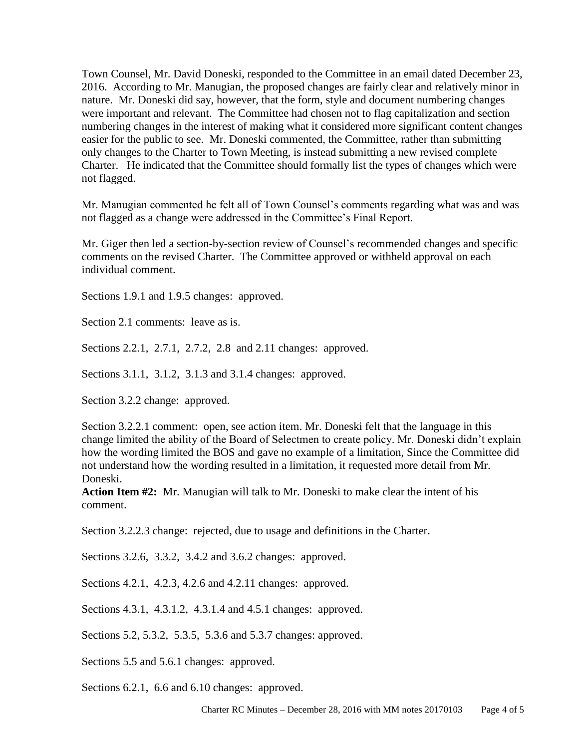Town Counsel, Mr. David Doneski, responded to the Committee in an email dated December 23, 2016. According to Mr. Manugian, the proposed changes are fairly clear and relatively minor in nature. Mr. Doneski did say, however, that the form, style and document numbering changes were important and relevant. The Committee had chosen not to flag capitalization and section numbering changes in the interest of making what it considered more significant content changes easier for the public to see. Mr. Doneski commented, the Committee, rather than submitting only changes to the Charter to Town Meeting, is instead submitting a new revised complete Charter. He indicated that the Committee should formally list the types of changes which were not flagged.

Mr. Manugian commented he felt all of Town Counsel's comments regarding what was and was not flagged as a change were addressed in the Committee's Final Report.

Mr. Giger then led a section-by-section review of Counsel's recommended changes and specific comments on the revised Charter. The Committee approved or withheld approval on each individual comment.

Sections 1.9.1 and 1.9.5 changes: approved.

Section 2.1 comments: leave as is.

Sections 2.2.1, 2.7.1, 2.7.2, 2.8 and 2.11 changes: approved.

Sections 3.1.1, 3.1.2, 3.1.3 and 3.1.4 changes: approved.

Section 3.2.2 change: approved.

Section 3.2.2.1 comment: open, see action item. Mr. Doneski felt that the language in this change limited the ability of the Board of Selectmen to create policy. Mr. Doneski didn't explain how the wording limited the BOS and gave no example of a limitation, Since the Committee did not understand how the wording resulted in a limitation, it requested more detail from Mr. Doneski.

**Action Item #2:** Mr. Manugian will talk to Mr. Doneski to make clear the intent of his comment.

Section 3.2.2.3 change: rejected, due to usage and definitions in the Charter.

Sections 3.2.6, 3.3.2, 3.4.2 and 3.6.2 changes: approved.

Sections 4.2.1, 4.2.3, 4.2.6 and 4.2.11 changes: approved.

Sections 4.3.1, 4.3.1.2, 4.3.1.4 and 4.5.1 changes: approved.

Sections 5.2, 5.3.2, 5.3.5, 5.3.6 and 5.3.7 changes: approved.

Sections 5.5 and 5.6.1 changes: approved.

Sections 6.2.1, 6.6 and 6.10 changes: approved.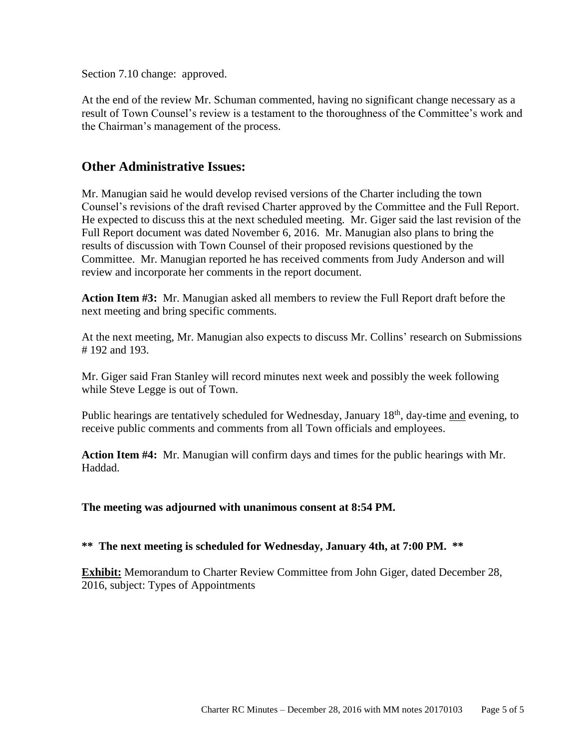Section 7.10 change: approved.

At the end of the review Mr. Schuman commented, having no significant change necessary as a result of Town Counsel's review is a testament to the thoroughness of the Committee's work and the Chairman's management of the process.

### **Other Administrative Issues:**

Mr. Manugian said he would develop revised versions of the Charter including the town Counsel's revisions of the draft revised Charter approved by the Committee and the Full Report. He expected to discuss this at the next scheduled meeting. Mr. Giger said the last revision of the Full Report document was dated November 6, 2016. Mr. Manugian also plans to bring the results of discussion with Town Counsel of their proposed revisions questioned by the Committee. Mr. Manugian reported he has received comments from Judy Anderson and will review and incorporate her comments in the report document.

**Action Item #3:** Mr. Manugian asked all members to review the Full Report draft before the next meeting and bring specific comments.

At the next meeting, Mr. Manugian also expects to discuss Mr. Collins' research on Submissions # 192 and 193.

Mr. Giger said Fran Stanley will record minutes next week and possibly the week following while Steve Legge is out of Town.

Public hearings are tentatively scheduled for Wednesday, January 18<sup>th</sup>, day-time and evening, to receive public comments and comments from all Town officials and employees.

**Action Item #4:** Mr. Manugian will confirm days and times for the public hearings with Mr. Haddad.

**The meeting was adjourned with unanimous consent at 8:54 PM.** 

**\*\* The next meeting is scheduled for Wednesday, January 4th, at 7:00 PM. \*\***

**Exhibit:** Memorandum to Charter Review Committee from John Giger, dated December 28, 2016, subject: Types of Appointments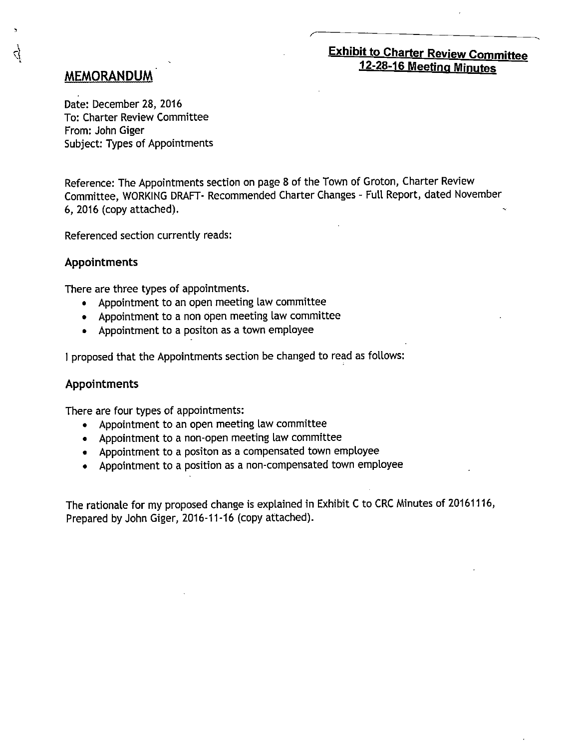# **Exhibit to Charter Review Committee** 12-28-16 Meeting Minutes

# **MEMORANDUM**

त्

Date: December 28, 2016 To: Charter Review Committee From: John Giger Subject: Types of Appointments

Reference: The Appointments section on page 8 of the Town of Groton, Charter Review Committee, WORKING DRAFT- Recommended Charter Changes - Full Report, dated November 6, 2016 (copy attached).

Referenced section currently reads:

#### **Appointments**

There are three types of appointments.

- Appointment to an open meeting law committee
- Appointment to a non open meeting law committee
- Appointment to a positon as a town employee

I proposed that the Appointments section be changed to read as follows:

#### **Appointments**

There are four types of appointments:

- Appointment to an open meeting law committee
- Appointment to a non-open meeting law committee
- Appointment to a positon as a compensated town employee
- Appointment to a position as a non-compensated town employee

The rationale for my proposed change is explained in Exhibit C to CRC Minutes of 20161116, Prepared by John Giger, 2016-11-16 (copy attached).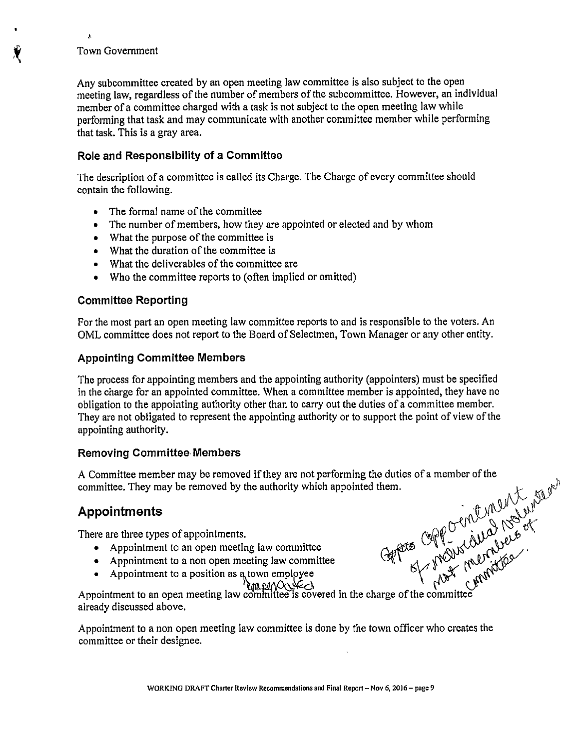#### **Town Government**

 $\lambda$ 

Any subcommittee created by an open meeting law committee is also subject to the open meeting law, regardless of the number of members of the subcommittee. However, an individual member of a committee charged with a task is not subject to the open meeting law while performing that task and may communicate with another committee member while performing that task. This is a gray area.

#### Role and Responsibility of a Committee

The description of a committee is called its Charge. The Charge of every committee should contain the following.

- The formal name of the committee
- The number of members, how they are appointed or elected and by whom
- What the purpose of the committee is
- What the duration of the committee is
- What the deliverables of the committee are
- Who the committee reports to (often implied or omitted)

#### **Committee Reporting**

For the most part an open meeting law committee reports to and is responsible to the voters. An OML committee does not report to the Board of Selectmen, Town Manager or any other entity.

#### **Appointing Committee Members**

The process for appointing members and the appointing authority (appointers) must be specified in the charge for an appointed committee. When a committee member is appointed, they have no obligation to the appointing authority other than to carry out the duties of a committee member. They are not obligated to represent the appointing authority or to support the point of view of the appointing authority.

#### **Removing Committee Members**

General Open Crembin 1997 A Committee member may be removed if they are not performing the duties of a member of the committee. They may be removed by the authority which appointed them.

### **Appointments**

There are three types of appointments.

- Appointment to an open meeting law committee
- Appointment to a non open meeting law committee
- -

• Appointment to a position as a town employee<br>Appointment to an open meeting law committee is covered in the charge of the committee already discussed above.

Appointment to a non open meeting law committee is done by the town officer who creates the committee or their designee.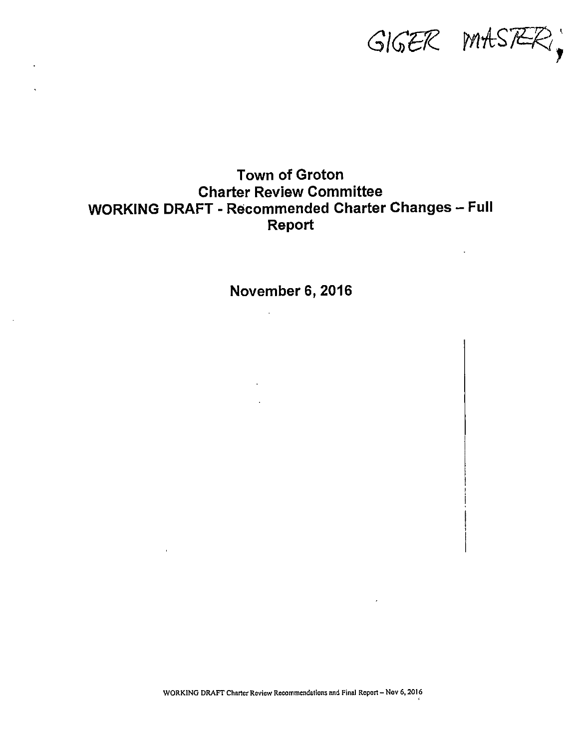$GIGER$   $MASZR$ 

# **Town of Groton Charter Review Committee WORKING DRAFT - Recommended Charter Changes - Full** Report

November 6, 2016

 $\mathcal{L}$ 

 $\Delta \sim 10^4$ 

WORKING DRAFT Charter Review Recommendations and Final Report - Nov 6, 2016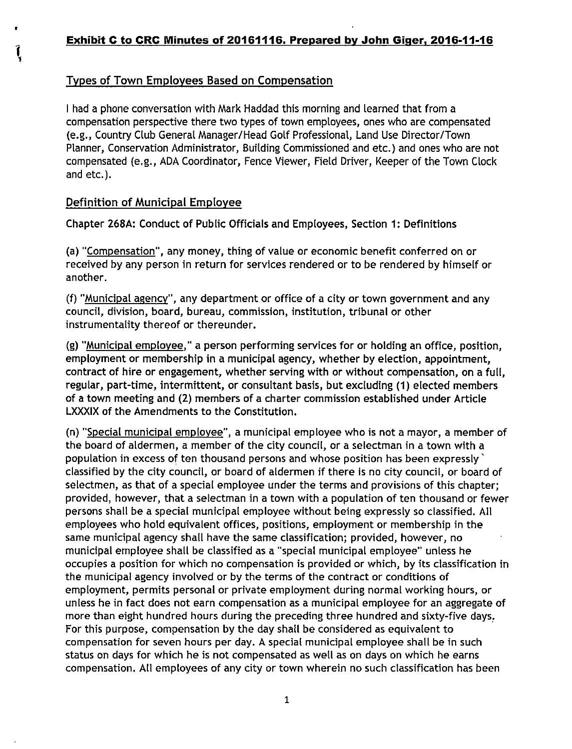# Types of Town Employees Based on Compensation

I had a phone conversation with Mark Haddad this morning and learned that from a compensation perspective there two types of town employees, ones who are compensated (e.g., Country Club General Manager/Head Golf Professional, Land Use Director/Town Planner, Conservation Administrator, Building Commissioned and etc.) and ones who are not compensated (e.g., ADA Coordinator, Fence Viewer, Field Driver, Keeper of the Town Clock and etc.).

### Definition of Municipal Employee

ļ

Chapter 268A: Conduct of Public Officials and Employees, Section 1: Definitions

(a) "Compensation", any money, thing of value or economic benefit conferred on or received by any person in return for services rendered or to be rendered by himself or another.

(f) "Municipal agency", any department or office of a city or town government and any council, division, board, bureau, commission, institution, tribunal or other instrumentality thereof or thereunder.

(g) "Municipal employee," a person performing services for or holding an office, position, employment or membership in a municipal agency, whether by election, appointment, contract of hire or engagement, whether serving with or without compensation, on a full, regular, part-time, intermittent, or consultant basis, but excluding (1) elected members of a town meeting and (2) members of a charter commission established under Article LXXXIX of the Amendments to the Constitution.

(n) "Special municipal employee", a municipal employee who is not a mayor, a member of the board of aldermen, a member of the city council, or a selectman in a town with a population in excess of ten thousand persons and whose position has been expressly classified by the city council, or board of aldermen if there is no city council, or board of selectmen, as that of a special employee under the terms and provisions of this chapter; provided, however, that a selectman in a town with a population of ten thousand or fewer persons shall be a special municipal employee without being expressly so classified. All employees who hold equivalent offices, positions, employment or membership in the same municipal agency shall have the same classification; provided, however, no municipal employee shall be classified as a "special municipal employee" unless he occupies a position for which no compensation is provided or which, by its classification in the municipal agency involved or by the terms of the contract or conditions of employment, permits personal or private employment during normal working hours, or unless he in fact does not earn compensation as a municipal employee for an aggregate of more than eight hundred hours during the preceding three hundred and sixty-five days. For this purpose, compensation by the day shall be considered as equivalent to compensation for seven hours per day. A special municipal employee shall be in such status on days for which he is not compensated as well as on days on which he earns compensation. All employees of any city or town wherein no such classification has been